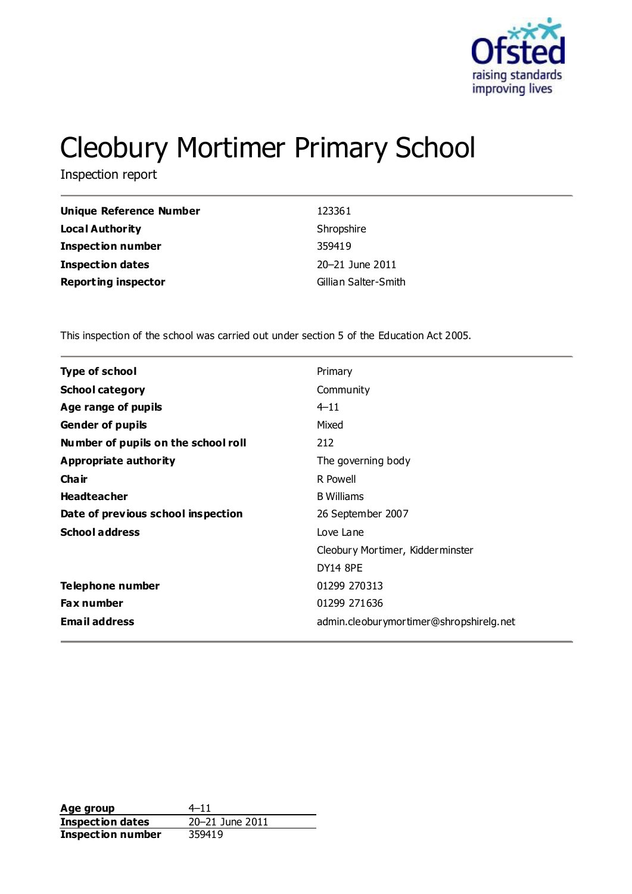

# Cleobury Mortimer Primary School

Inspection report

| Unique Reference Number    | 123361               |
|----------------------------|----------------------|
| <b>Local Authority</b>     | Shropshire           |
| <b>Inspection number</b>   | 359419               |
| <b>Inspection dates</b>    | 20-21 June 2011      |
| <b>Reporting inspector</b> | Gillian Salter-Smith |

This inspection of the school was carried out under section 5 of the Education Act 2005.

| <b>Type of school</b><br>Primary<br>Community<br><b>School category</b> |  |
|-------------------------------------------------------------------------|--|
|                                                                         |  |
|                                                                         |  |
| $4 - 11$<br>Age range of pupils                                         |  |
| Mixed<br><b>Gender of pupils</b>                                        |  |
| Number of pupils on the school roll<br>212                              |  |
| Appropriate authority<br>The governing body                             |  |
| Cha ir<br>R Powell                                                      |  |
| <b>Headteacher</b><br><b>B</b> Williams                                 |  |
| Date of previous school inspection<br>26 September 2007                 |  |
| <b>School address</b><br>Love Lane                                      |  |
| Cleobury Mortimer, Kidderminster                                        |  |
| <b>DY14 8PE</b>                                                         |  |
| Telephone number<br>01299 270313                                        |  |
| 01299 271636<br><b>Fax number</b>                                       |  |
| <b>Email address</b><br>admin.cleoburymortimer@shropshirelg.net         |  |

**Age group**  $4-11$ <br> **Inspection dates**  $20-21$  June 2011 **Inspection dates Inspection number** 359419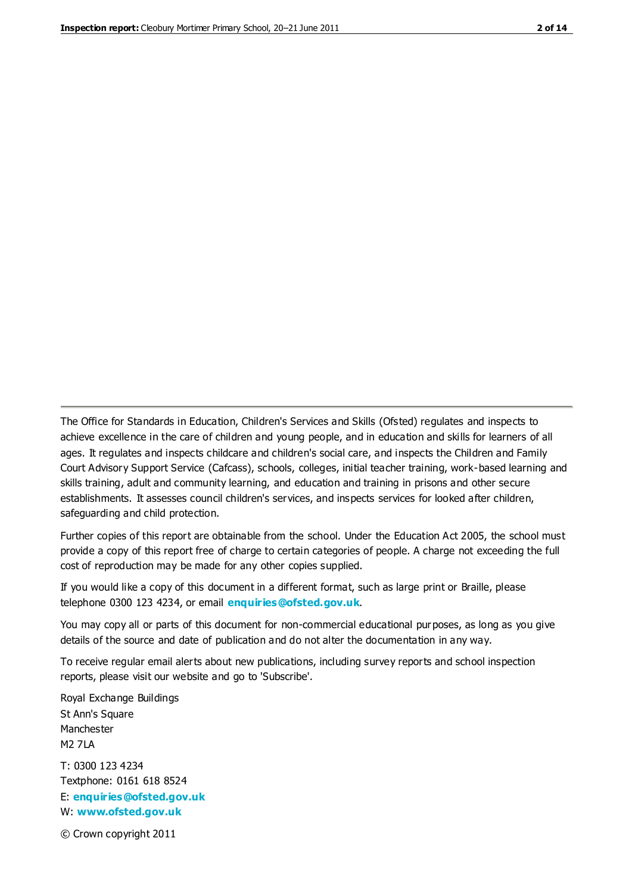The Office for Standards in Education, Children's Services and Skills (Ofsted) regulates and inspects to achieve excellence in the care of children and young people, and in education and skills for learners of all ages. It regulates and inspects childcare and children's social care, and inspects the Children and Family Court Advisory Support Service (Cafcass), schools, colleges, initial teacher training, work-based learning and skills training, adult and community learning, and education and training in prisons and other secure establishments. It assesses council children's services, and inspects services for looked after children, safeguarding and child protection.

Further copies of this report are obtainable from the school. Under the Education Act 2005, the school must provide a copy of this report free of charge to certain categories of people. A charge not exceeding the full cost of reproduction may be made for any other copies supplied.

If you would like a copy of this document in a different format, such as large print or Braille, please telephone 0300 123 4234, or email **[enquiries@ofsted.gov.uk](mailto:enquiries@ofsted.gov.uk)**.

You may copy all or parts of this document for non-commercial educational purposes, as long as you give details of the source and date of publication and do not alter the documentation in any way.

To receive regular email alerts about new publications, including survey reports and school inspection reports, please visit our website and go to 'Subscribe'.

Royal Exchange Buildings St Ann's Square Manchester M2 7LA T: 0300 123 4234 Textphone: 0161 618 8524 E: **[enquiries@ofsted.gov.uk](mailto:enquiries@ofsted.gov.uk)**

W: **[www.ofsted.gov.uk](http://www.ofsted.gov.uk/)**

© Crown copyright 2011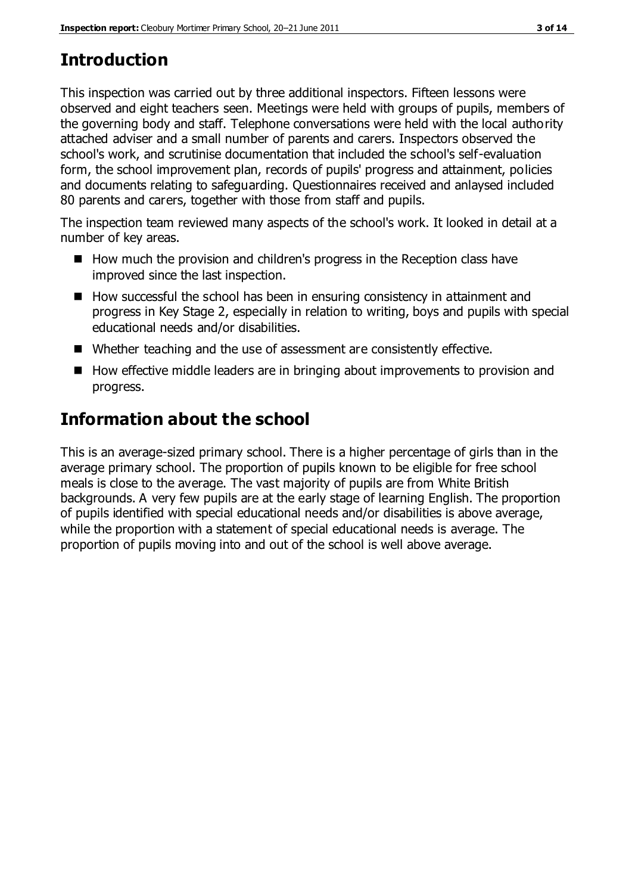# **Introduction**

This inspection was carried out by three additional inspectors. Fifteen lessons were observed and eight teachers seen. Meetings were held with groups of pupils, members of the governing body and staff. Telephone conversations were held with the local authority attached adviser and a small number of parents and carers. Inspectors observed the school's work, and scrutinise documentation that included the school's self-evaluation form, the school improvement plan, records of pupils' progress and attainment, policies and documents relating to safeguarding. Questionnaires received and anlaysed included 80 parents and carers, together with those from staff and pupils.

The inspection team reviewed many aspects of the school's work. It looked in detail at a number of key areas.

- How much the provision and children's progress in the Reception class have improved since the last inspection.
- How successful the school has been in ensuring consistency in attainment and progress in Key Stage 2, especially in relation to writing, boys and pupils with special educational needs and/or disabilities.
- Whether teaching and the use of assessment are consistently effective.
- How effective middle leaders are in bringing about improvements to provision and progress.

# **Information about the school**

This is an average-sized primary school. There is a higher percentage of girls than in the average primary school. The proportion of pupils known to be eligible for free school meals is close to the average. The vast majority of pupils are from White British backgrounds. A very few pupils are at the early stage of learning English. The proportion of pupils identified with special educational needs and/or disabilities is above average, while the proportion with a statement of special educational needs is average. The proportion of pupils moving into and out of the school is well above average.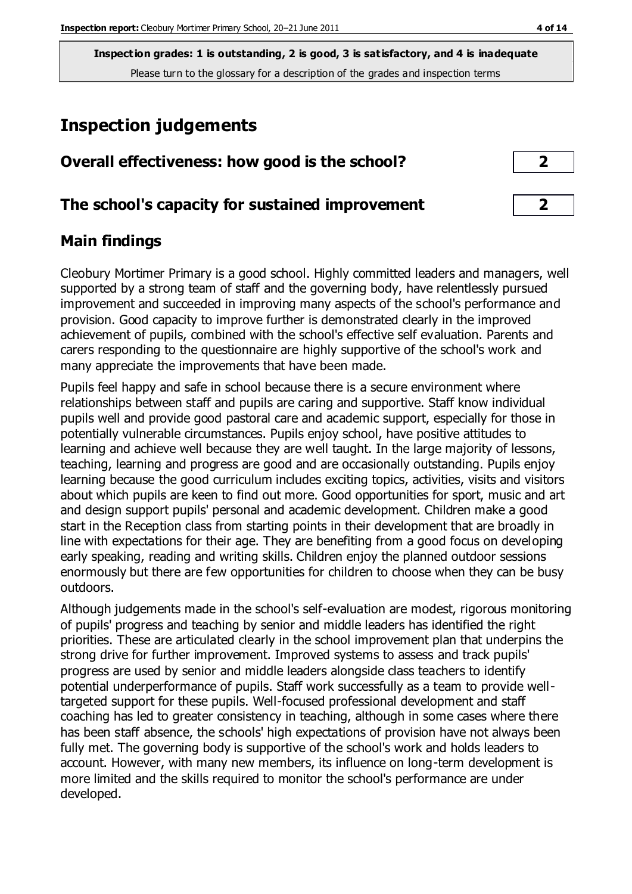# **Inspection judgements**

| Overall effectiveness: how good is the school?  |  |
|-------------------------------------------------|--|
| The school's capacity for sustained improvement |  |

## **Main findings**

Cleobury Mortimer Primary is a good school. Highly committed leaders and managers, well supported by a strong team of staff and the governing body, have relentlessly pursued improvement and succeeded in improving many aspects of the school's performance and provision. Good capacity to improve further is demonstrated clearly in the improved achievement of pupils, combined with the school's effective self evaluation. Parents and carers responding to the questionnaire are highly supportive of the school's work and many appreciate the improvements that have been made.

Pupils feel happy and safe in school because there is a secure environment where relationships between staff and pupils are caring and supportive. Staff know individual pupils well and provide good pastoral care and academic support, especially for those in potentially vulnerable circumstances. Pupils enjoy school, have positive attitudes to learning and achieve well because they are well taught. In the large majority of lessons, teaching, learning and progress are good and are occasionally outstanding. Pupils enjoy learning because the good curriculum includes exciting topics, activities, visits and visitors about which pupils are keen to find out more. Good opportunities for sport, music and art and design support pupils' personal and academic development. Children make a good start in the Reception class from starting points in their development that are broadly in line with expectations for their age. They are benefiting from a good focus on developing early speaking, reading and writing skills. Children enjoy the planned outdoor sessions enormously but there are few opportunities for children to choose when they can be busy outdoors.

Although judgements made in the school's self-evaluation are modest, rigorous monitoring of pupils' progress and teaching by senior and middle leaders has identified the right priorities. These are articulated clearly in the school improvement plan that underpins the strong drive for further improvement. Improved systems to assess and track pupils' progress are used by senior and middle leaders alongside class teachers to identify potential underperformance of pupils. Staff work successfully as a team to provide welltargeted support for these pupils. Well-focused professional development and staff coaching has led to greater consistency in teaching, although in some cases where there has been staff absence, the schools' high expectations of provision have not always been fully met. The governing body is supportive of the school's work and holds leaders to account. However, with many new members, its influence on long-term development is more limited and the skills required to monitor the school's performance are under developed.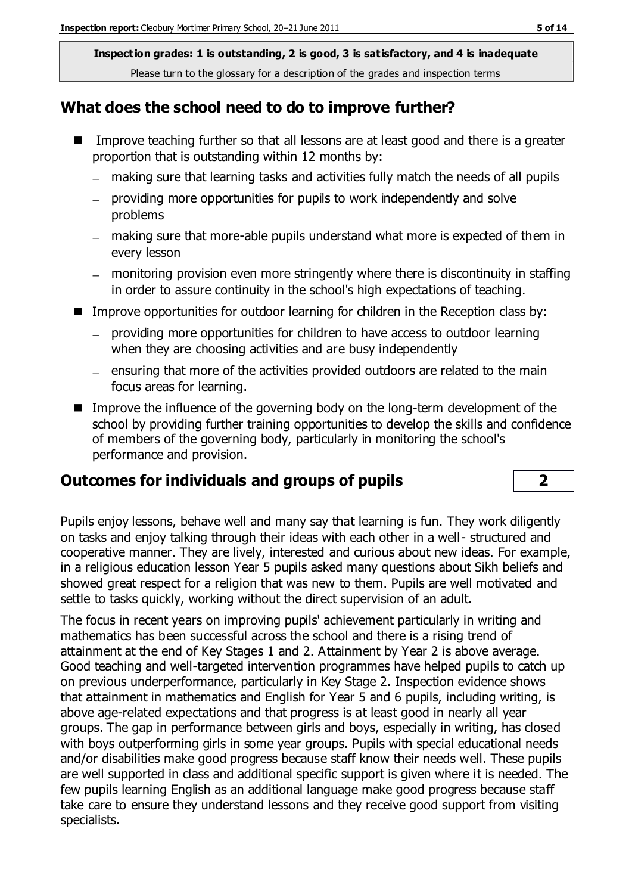#### **What does the school need to do to improve further?**

- Improve teaching further so that all lessons are at least good and there is a greater proportion that is outstanding within 12 months by:
	- making sure that learning tasks and activities fully match the needs of all pupils
	- providing more opportunities for pupils to work independently and solve problems
	- making sure that more-able pupils understand what more is expected of them in every lesson
	- monitoring provision even more stringently where there is discontinuity in staffing in order to assure continuity in the school's high expectations of teaching.
- Improve opportunities for outdoor learning for children in the Reception class by:
	- providing more opportunities for children to have access to outdoor learning when they are choosing activities and are busy independently
	- $-$  ensuring that more of the activities provided outdoors are related to the main focus areas for learning.
- **IMPROVE THE INSTENSI** Improve the influence of the governing body on the long-term development of the school by providing further training opportunities to develop the skills and confidence of members of the governing body, particularly in monitoring the school's performance and provision.

## **Outcomes for individuals and groups of pupils 2**

Pupils enjoy lessons, behave well and many say that learning is fun. They work diligently on tasks and enjoy talking through their ideas with each other in a well- structured and cooperative manner. They are lively, interested and curious about new ideas. For example, in a religious education lesson Year 5 pupils asked many questions about Sikh beliefs and showed great respect for a religion that was new to them. Pupils are well motivated and settle to tasks quickly, working without the direct supervision of an adult.

The focus in recent years on improving pupils' achievement particularly in writing and mathematics has been successful across the school and there is a rising trend of attainment at the end of Key Stages 1 and 2. Attainment by Year 2 is above average. Good teaching and well-targeted intervention programmes have helped pupils to catch up on previous underperformance, particularly in Key Stage 2. Inspection evidence shows that attainment in mathematics and English for Year 5 and 6 pupils, including writing, is above age-related expectations and that progress is at least good in nearly all year groups. The gap in performance between girls and boys, especially in writing, has closed with boys outperforming girls in some year groups. Pupils with special educational needs and/or disabilities make good progress because staff know their needs well. These pupils are well supported in class and additional specific support is given where it is needed. The few pupils learning English as an additional language make good progress because staff take care to ensure they understand lessons and they receive good support from visiting specialists.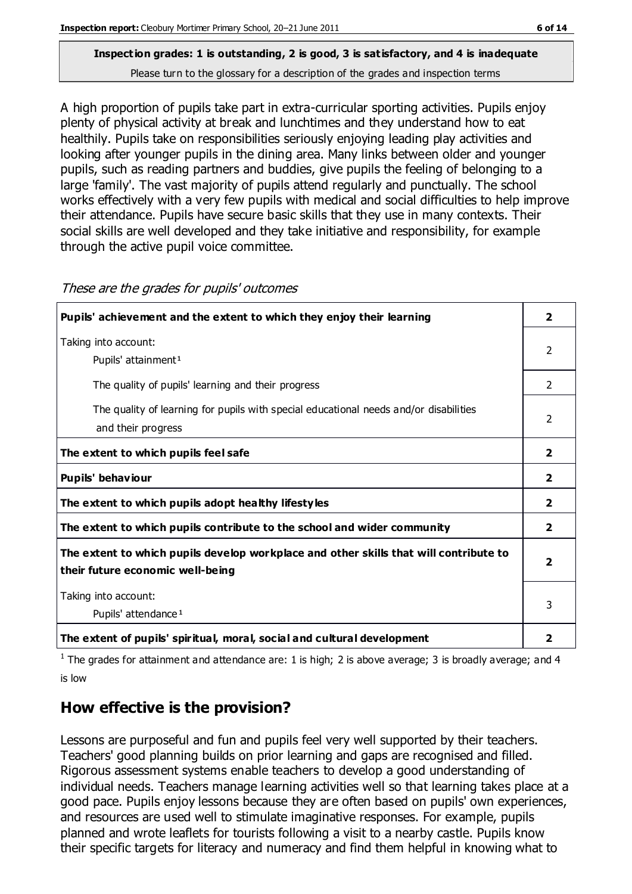A high proportion of pupils take part in extra-curricular sporting activities. Pupils enjoy plenty of physical activity at break and lunchtimes and they understand how to eat healthily. Pupils take on responsibilities seriously enjoying leading play activities and looking after younger pupils in the dining area. Many links between older and younger pupils, such as reading partners and buddies, give pupils the feeling of belonging to a large 'family'. The vast majority of pupils attend regularly and punctually. The school works effectively with a very few pupils with medical and social difficulties to help improve their attendance. Pupils have secure basic skills that they use in many contexts. Their social skills are well developed and they take initiative and responsibility, for example through the active pupil voice committee.

| Pupils' achievement and the extent to which they enjoy their learning                                                     | 2              |
|---------------------------------------------------------------------------------------------------------------------------|----------------|
| Taking into account:<br>Pupils' attainment <sup>1</sup>                                                                   | 2              |
| The quality of pupils' learning and their progress                                                                        | 2              |
| The quality of learning for pupils with special educational needs and/or disabilities<br>and their progress               |                |
| The extent to which pupils feel safe                                                                                      | $\overline{2}$ |
| Pupils' behaviour                                                                                                         | $\overline{2}$ |
| The extent to which pupils adopt healthy lifestyles                                                                       | $\overline{2}$ |
| The extent to which pupils contribute to the school and wider community                                                   | $\overline{2}$ |
| The extent to which pupils develop workplace and other skills that will contribute to<br>their future economic well-being |                |
| Taking into account:<br>Pupils' attendance <sup>1</sup>                                                                   | 3              |
| The extent of pupils' spiritual, moral, social and cultural development                                                   | 2              |

These are the grades for pupils' outcomes

<sup>1</sup> The grades for attainment and attendance are: 1 is high; 2 is above average; 3 is broadly average; and 4 is low

## **How effective is the provision?**

Lessons are purposeful and fun and pupils feel very well supported by their teachers. Teachers' good planning builds on prior learning and gaps are recognised and filled. Rigorous assessment systems enable teachers to develop a good understanding of individual needs. Teachers manage learning activities well so that learning takes place at a good pace. Pupils enjoy lessons because they are often based on pupils' own experiences, and resources are used well to stimulate imaginative responses. For example, pupils planned and wrote leaflets for tourists following a visit to a nearby castle. Pupils know their specific targets for literacy and numeracy and find them helpful in knowing what to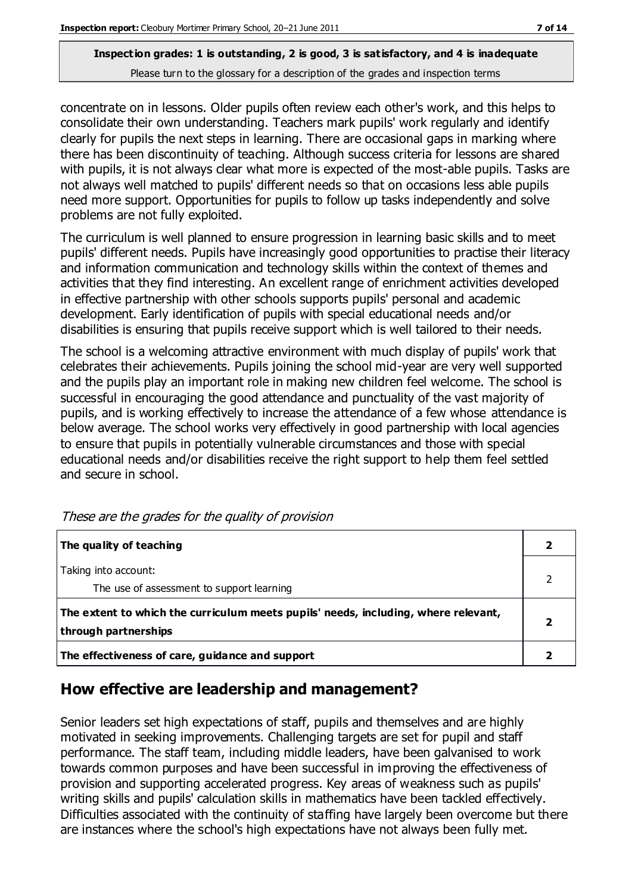concentrate on in lessons. Older pupils often review each other's work, and this helps to consolidate their own understanding. Teachers mark pupils' work regularly and identify clearly for pupils the next steps in learning. There are occasional gaps in marking where there has been discontinuity of teaching. Although success criteria for lessons are shared with pupils, it is not always clear what more is expected of the most-able pupils. Tasks are not always well matched to pupils' different needs so that on occasions less able pupils need more support. Opportunities for pupils to follow up tasks independently and solve problems are not fully exploited.

The curriculum is well planned to ensure progression in learning basic skills and to meet pupils' different needs. Pupils have increasingly good opportunities to practise their literacy and information communication and technology skills within the context of themes and activities that they find interesting. An excellent range of enrichment activities developed in effective partnership with other schools supports pupils' personal and academic development. Early identification of pupils with special educational needs and/or disabilities is ensuring that pupils receive support which is well tailored to their needs.

The school is a welcoming attractive environment with much display of pupils' work that celebrates their achievements. Pupils joining the school mid-year are very well supported and the pupils play an important role in making new children feel welcome. The school is successful in encouraging the good attendance and punctuality of the vast majority of pupils, and is working effectively to increase the attendance of a few whose attendance is below average. The school works very effectively in good partnership with local agencies to ensure that pupils in potentially vulnerable circumstances and those with special educational needs and/or disabilities receive the right support to help them feel settled and secure in school.

| The quality of teaching                                                                                    |  |
|------------------------------------------------------------------------------------------------------------|--|
| Taking into account:<br>The use of assessment to support learning                                          |  |
| The extent to which the curriculum meets pupils' needs, including, where relevant,<br>through partnerships |  |
| The effectiveness of care, guidance and support                                                            |  |

These are the grades for the quality of provision

#### **How effective are leadership and management?**

Senior leaders set high expectations of staff, pupils and themselves and are highly motivated in seeking improvements. Challenging targets are set for pupil and staff performance. The staff team, including middle leaders, have been galvanised to work towards common purposes and have been successful in improving the effectiveness of provision and supporting accelerated progress. Key areas of weakness such as pupils' writing skills and pupils' calculation skills in mathematics have been tackled effectively. Difficulties associated with the continuity of staffing have largely been overcome but there are instances where the school's high expectations have not always been fully met.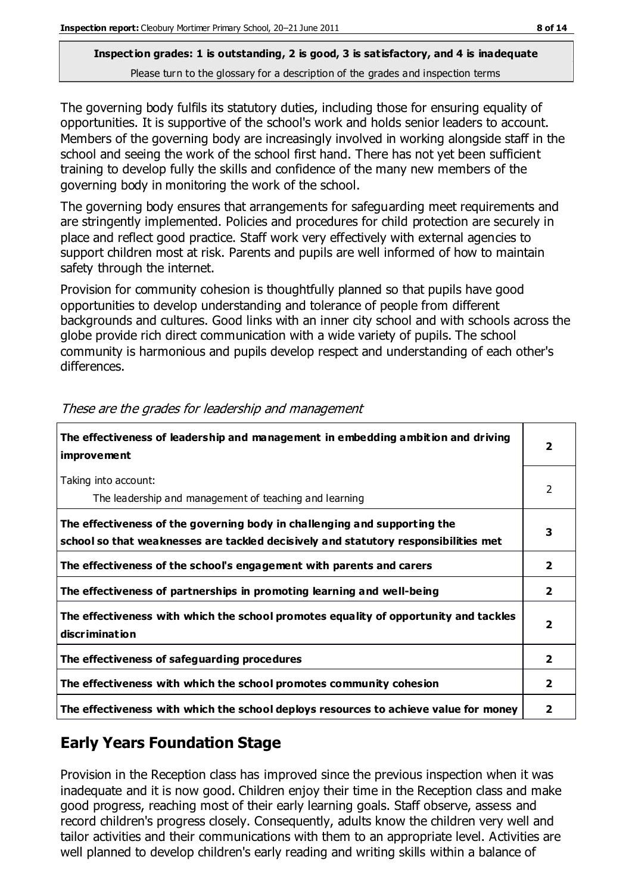The governing body fulfils its statutory duties, including those for ensuring equality of opportunities. It is supportive of the school's work and holds senior leaders to account. Members of the governing body are increasingly involved in working alongside staff in the school and seeing the work of the school first hand. There has not yet been sufficient training to develop fully the skills and confidence of the many new members of the governing body in monitoring the work of the school.

The governing body ensures that arrangements for safeguarding meet requirements and are stringently implemented. Policies and procedures for child protection are securely in place and reflect good practice. Staff work very effectively with external agencies to support children most at risk. Parents and pupils are well informed of how to maintain safety through the internet.

Provision for community cohesion is thoughtfully planned so that pupils have good opportunities to develop understanding and tolerance of people from different backgrounds and cultures. Good links with an inner city school and with schools across the globe provide rich direct communication with a wide variety of pupils. The school community is harmonious and pupils develop respect and understanding of each other's differences.

| The effectiveness of leadership and management in embedding ambition and driving<br><i>improvement</i>                                                           |                |
|------------------------------------------------------------------------------------------------------------------------------------------------------------------|----------------|
| Taking into account:<br>The leadership and management of teaching and learning                                                                                   | 2              |
| The effectiveness of the governing body in challenging and supporting the<br>school so that weaknesses are tackled decisively and statutory responsibilities met | 3              |
| The effectiveness of the school's engagement with parents and carers                                                                                             | $\mathbf{2}$   |
| The effectiveness of partnerships in promoting learning and well-being                                                                                           | $\mathbf{2}$   |
| The effectiveness with which the school promotes equality of opportunity and tackles<br>discrimination                                                           | $\overline{2}$ |
| The effectiveness of safeguarding procedures                                                                                                                     | $\overline{2}$ |
| The effectiveness with which the school promotes community cohesion                                                                                              | $\mathbf{2}$   |
| The effectiveness with which the school deploys resources to achieve value for money                                                                             | 2              |

These are the grades for leadership and management

## **Early Years Foundation Stage**

Provision in the Reception class has improved since the previous inspection when it was inadequate and it is now good. Children enjoy their time in the Reception class and make good progress, reaching most of their early learning goals. Staff observe, assess and record children's progress closely. Consequently, adults know the children very well and tailor activities and their communications with them to an appropriate level. Activities are well planned to develop children's early reading and writing skills within a balance of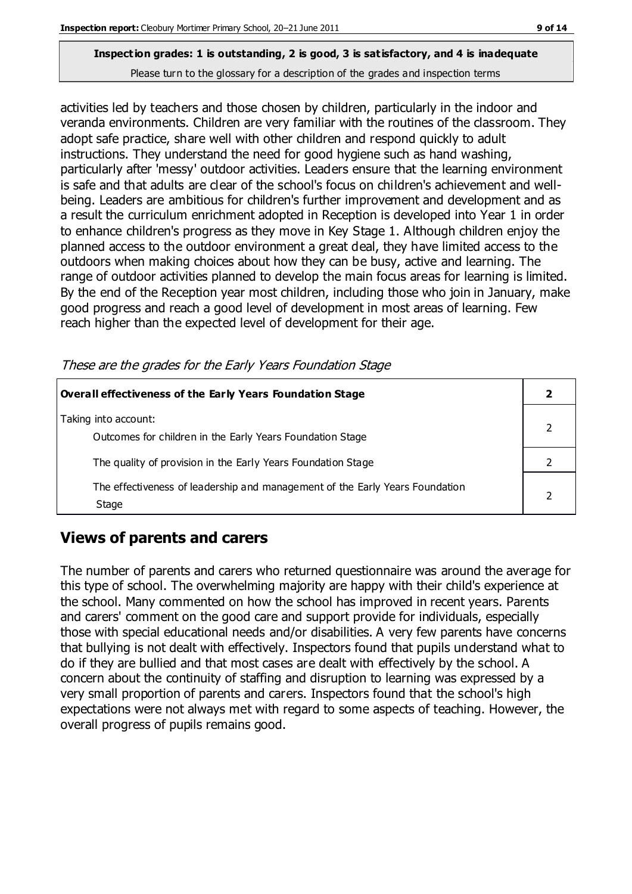activities led by teachers and those chosen by children, particularly in the indoor and veranda environments. Children are very familiar with the routines of the classroom. They adopt safe practice, share well with other children and respond quickly to adult instructions. They understand the need for good hygiene such as hand washing, particularly after 'messy' outdoor activities. Leaders ensure that the learning environment is safe and that adults are clear of the school's focus on children's achievement and wellbeing. Leaders are ambitious for children's further improvement and development and as a result the curriculum enrichment adopted in Reception is developed into Year 1 in order to enhance children's progress as they move in Key Stage 1. Although children enjoy the planned access to the outdoor environment a great deal, they have limited access to the outdoors when making choices about how they can be busy, active and learning. The range of outdoor activities planned to develop the main focus areas for learning is limited. By the end of the Reception year most children, including those who join in January, make good progress and reach a good level of development in most areas of learning. Few reach higher than the expected level of development for their age.

**Overall effectiveness of the Early Years Foundation Stage 2** Taking into account: Outcomes for children in the Early Years Foundation Stage 2 The quality of provision in the Early Years Foundation Stage 2 The effectiveness of leadership and management of the Early Years Foundation Stage 2

#### These are the grades for the Early Years Foundation Stage

#### **Views of parents and carers**

The number of parents and carers who returned questionnaire was around the average for this type of school. The overwhelming majority are happy with their child's experience at the school. Many commented on how the school has improved in recent years. Parents and carers' comment on the good care and support provide for individuals, especially those with special educational needs and/or disabilities. A very few parents have concerns that bullying is not dealt with effectively. Inspectors found that pupils understand what to do if they are bullied and that most cases are dealt with effectively by the school. A concern about the continuity of staffing and disruption to learning was expressed by a very small proportion of parents and carers. Inspectors found that the school's high expectations were not always met with regard to some aspects of teaching. However, the overall progress of pupils remains good.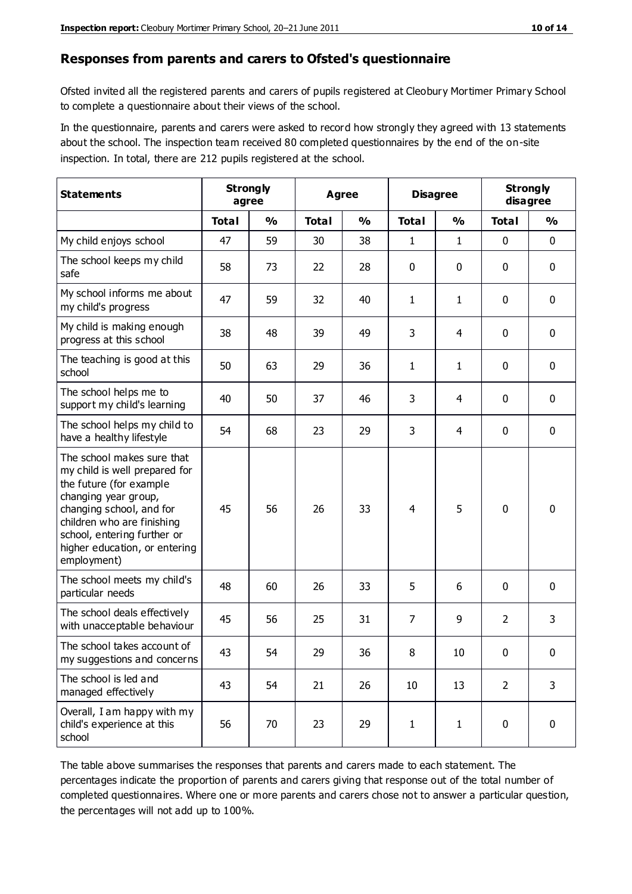#### **Responses from parents and carers to Ofsted's questionnaire**

Ofsted invited all the registered parents and carers of pupils registered at Cleobury Mortimer Primary School to complete a questionnaire about their views of the school.

In the questionnaire, parents and carers were asked to record how strongly they agreed with 13 statements about the school. The inspection team received 80 completed questionnaires by the end of the on-site inspection. In total, there are 212 pupils registered at the school.

| <b>Statements</b>                                                                                                                                                                                                                                       | <b>Strongly</b><br>agree |               | <b>Agree</b> |               |                | <b>Disagree</b> |                | <b>Strongly</b><br>disagree |
|---------------------------------------------------------------------------------------------------------------------------------------------------------------------------------------------------------------------------------------------------------|--------------------------|---------------|--------------|---------------|----------------|-----------------|----------------|-----------------------------|
|                                                                                                                                                                                                                                                         | <b>Total</b>             | $\frac{0}{0}$ | <b>Total</b> | $\frac{0}{0}$ | <b>Total</b>   | $\frac{0}{0}$   | <b>Total</b>   | $\frac{0}{0}$               |
| My child enjoys school                                                                                                                                                                                                                                  | 47                       | 59            | 30           | 38            | 1              | $\mathbf{1}$    | $\mathbf 0$    | $\mathbf 0$                 |
| The school keeps my child<br>safe                                                                                                                                                                                                                       | 58                       | 73            | 22           | 28            | 0              | 0               | $\mathbf 0$    | $\mathbf 0$                 |
| My school informs me about<br>my child's progress                                                                                                                                                                                                       | 47                       | 59            | 32           | 40            | 1              | $\mathbf{1}$    | $\mathbf 0$    | $\mathbf 0$                 |
| My child is making enough<br>progress at this school                                                                                                                                                                                                    | 38                       | 48            | 39           | 49            | 3              | 4               | 0              | $\mathbf 0$                 |
| The teaching is good at this<br>school                                                                                                                                                                                                                  | 50                       | 63            | 29           | 36            | 1              | $\mathbf{1}$    | $\mathbf 0$    | $\mathbf 0$                 |
| The school helps me to<br>support my child's learning                                                                                                                                                                                                   | 40                       | 50            | 37           | 46            | 3              | 4               | $\mathbf 0$    | $\mathbf 0$                 |
| The school helps my child to<br>have a healthy lifestyle                                                                                                                                                                                                | 54                       | 68            | 23           | 29            | 3              | 4               | $\mathbf 0$    | $\mathbf 0$                 |
| The school makes sure that<br>my child is well prepared for<br>the future (for example<br>changing year group,<br>changing school, and for<br>children who are finishing<br>school, entering further or<br>higher education, or entering<br>employment) | 45                       | 56            | 26           | 33            | $\overline{4}$ | 5               | $\mathbf 0$    | $\mathbf 0$                 |
| The school meets my child's<br>particular needs                                                                                                                                                                                                         | 48                       | 60            | 26           | 33            | 5              | 6               | $\mathbf 0$    | $\mathbf 0$                 |
| The school deals effectively<br>with unacceptable behaviour                                                                                                                                                                                             | 45                       | 56            | 25           | 31            | 7              | 9               | $\overline{2}$ | 3                           |
| The school takes account of<br>my suggestions and concerns                                                                                                                                                                                              | 43                       | 54            | 29           | 36            | 8              | $10\,$          | 0              | 0                           |
| The school is led and<br>managed effectively                                                                                                                                                                                                            | 43                       | 54            | 21           | 26            | 10             | 13              | $\overline{2}$ | 3                           |
| Overall, I am happy with my<br>child's experience at this<br>school                                                                                                                                                                                     | 56                       | 70            | 23           | 29            | $\mathbf 1$    | $\mathbf{1}$    | $\mathbf 0$    | $\mathbf 0$                 |

The table above summarises the responses that parents and carers made to each statement. The percentages indicate the proportion of parents and carers giving that response out of the total number of completed questionnaires. Where one or more parents and carers chose not to answer a particular question, the percentages will not add up to 100%.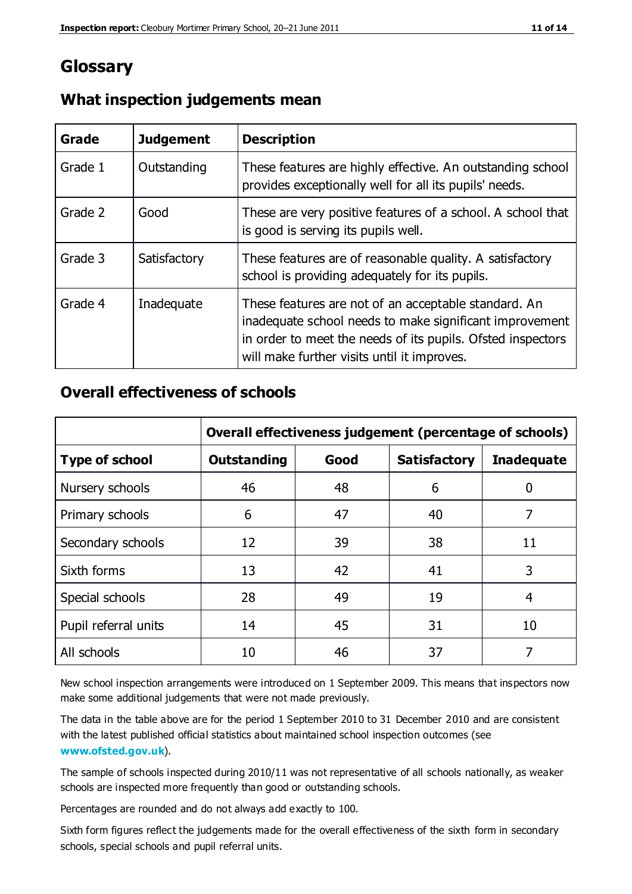## **Glossary**

| Grade   | <b>Judgement</b> | <b>Description</b>                                                                                                                                                                                                            |
|---------|------------------|-------------------------------------------------------------------------------------------------------------------------------------------------------------------------------------------------------------------------------|
| Grade 1 | Outstanding      | These features are highly effective. An outstanding school<br>provides exceptionally well for all its pupils' needs.                                                                                                          |
| Grade 2 | Good             | These are very positive features of a school. A school that<br>is good is serving its pupils well.                                                                                                                            |
| Grade 3 | Satisfactory     | These features are of reasonable quality. A satisfactory<br>school is providing adequately for its pupils.                                                                                                                    |
| Grade 4 | Inadequate       | These features are not of an acceptable standard. An<br>inadequate school needs to make significant improvement<br>in order to meet the needs of its pupils. Ofsted inspectors<br>will make further visits until it improves. |

#### **What inspection judgements mean**

## **Overall effectiveness of schools**

|                       | Overall effectiveness judgement (percentage of schools) |      |                     |                   |
|-----------------------|---------------------------------------------------------|------|---------------------|-------------------|
| <b>Type of school</b> | <b>Outstanding</b>                                      | Good | <b>Satisfactory</b> | <b>Inadequate</b> |
| Nursery schools       | 46                                                      | 48   | 6                   |                   |
| Primary schools       | 6                                                       | 47   | 40                  | 7                 |
| Secondary schools     | 12                                                      | 39   | 38                  | 11                |
| Sixth forms           | 13                                                      | 42   | 41                  | 3                 |
| Special schools       | 28                                                      | 49   | 19                  | 4                 |
| Pupil referral units  | 14                                                      | 45   | 31                  | 10                |
| All schools           | 10                                                      | 46   | 37                  |                   |

New school inspection arrangements were introduced on 1 September 2009. This means that inspectors now make some additional judgements that were not made previously.

The data in the table above are for the period 1 September 2010 to 31 December 2010 and are consistent with the latest published official statistics about maintained school inspection outcomes (see **[www.ofsted.gov.uk](http://www.ofsted.gov.uk/)**).

The sample of schools inspected during 2010/11 was not representative of all schools nationally, as weaker schools are inspected more frequently than good or outstanding schools.

Percentages are rounded and do not always add exactly to 100.

Sixth form figures reflect the judgements made for the overall effectiveness of the sixth form in secondary schools, special schools and pupil referral units.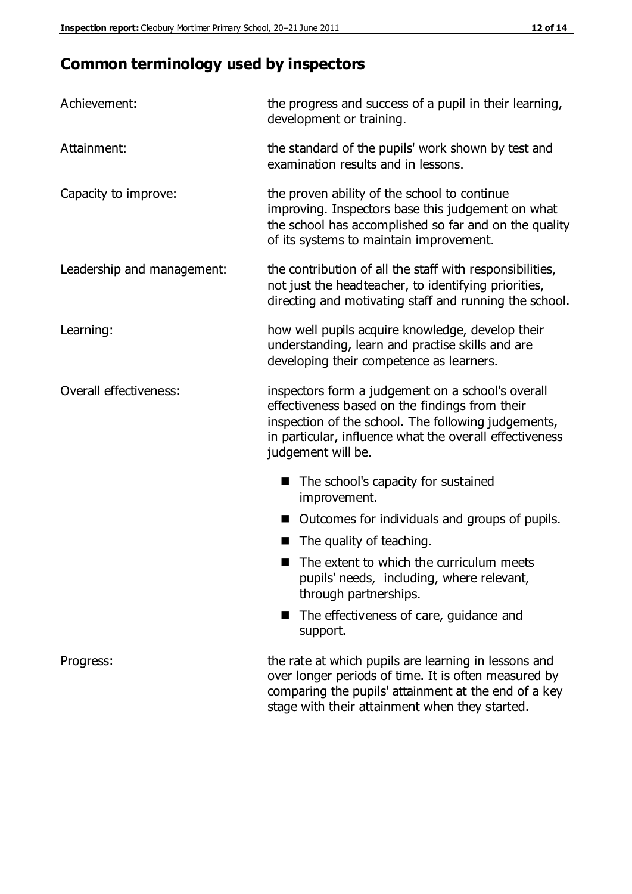# **Common terminology used by inspectors**

| Achievement:               | the progress and success of a pupil in their learning,<br>development or training.                                                                                                                                                          |  |  |
|----------------------------|---------------------------------------------------------------------------------------------------------------------------------------------------------------------------------------------------------------------------------------------|--|--|
| Attainment:                | the standard of the pupils' work shown by test and<br>examination results and in lessons.                                                                                                                                                   |  |  |
| Capacity to improve:       | the proven ability of the school to continue<br>improving. Inspectors base this judgement on what<br>the school has accomplished so far and on the quality<br>of its systems to maintain improvement.                                       |  |  |
| Leadership and management: | the contribution of all the staff with responsibilities,<br>not just the headteacher, to identifying priorities,<br>directing and motivating staff and running the school.                                                                  |  |  |
| Learning:                  | how well pupils acquire knowledge, develop their<br>understanding, learn and practise skills and are<br>developing their competence as learners.                                                                                            |  |  |
| Overall effectiveness:     | inspectors form a judgement on a school's overall<br>effectiveness based on the findings from their<br>inspection of the school. The following judgements,<br>in particular, influence what the overall effectiveness<br>judgement will be. |  |  |
|                            | The school's capacity for sustained<br>improvement.                                                                                                                                                                                         |  |  |
|                            | Outcomes for individuals and groups of pupils.                                                                                                                                                                                              |  |  |
|                            | The quality of teaching.                                                                                                                                                                                                                    |  |  |
|                            | The extent to which the curriculum meets<br>pupils' needs, including, where relevant,<br>through partnerships.                                                                                                                              |  |  |
|                            | The effectiveness of care, guidance and<br>support.                                                                                                                                                                                         |  |  |
| Progress:                  | the rate at which pupils are learning in lessons and<br>over longer periods of time. It is often measured by<br>comparing the pupils' attainment at the end of a key                                                                        |  |  |

stage with their attainment when they started.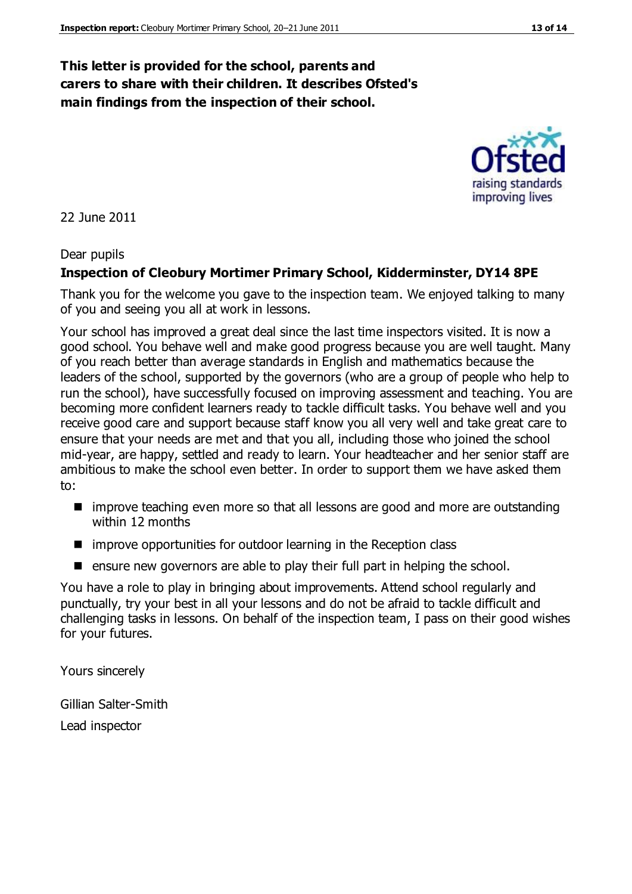## **This letter is provided for the school, parents and carers to share with their children. It describes Ofsted's main findings from the inspection of their school.**

22 June 2011

#### Dear pupils

#### **Inspection of Cleobury Mortimer Primary School, Kidderminster, DY14 8PE**

Thank you for the welcome you gave to the inspection team. We enjoyed talking to many of you and seeing you all at work in lessons.

Your school has improved a great deal since the last time inspectors visited. It is now a good school. You behave well and make good progress because you are well taught. Many of you reach better than average standards in English and mathematics because the leaders of the school, supported by the governors (who are a group of people who help to run the school), have successfully focused on improving assessment and teaching. You are becoming more confident learners ready to tackle difficult tasks. You behave well and you receive good care and support because staff know you all very well and take great care to ensure that your needs are met and that you all, including those who joined the school mid-year, are happy, settled and ready to learn. Your headteacher and her senior staff are ambitious to make the school even better. In order to support them we have asked them to:

- improve teaching even more so that all lessons are good and more are outstanding within 12 months
- improve opportunities for outdoor learning in the Reception class
- **E** ensure new governors are able to play their full part in helping the school.

You have a role to play in bringing about improvements. Attend school regularly and punctually, try your best in all your lessons and do not be afraid to tackle difficult and challenging tasks in lessons. On behalf of the inspection team, I pass on their good wishes for your futures.

Yours sincerely

Gillian Salter-Smith Lead inspector